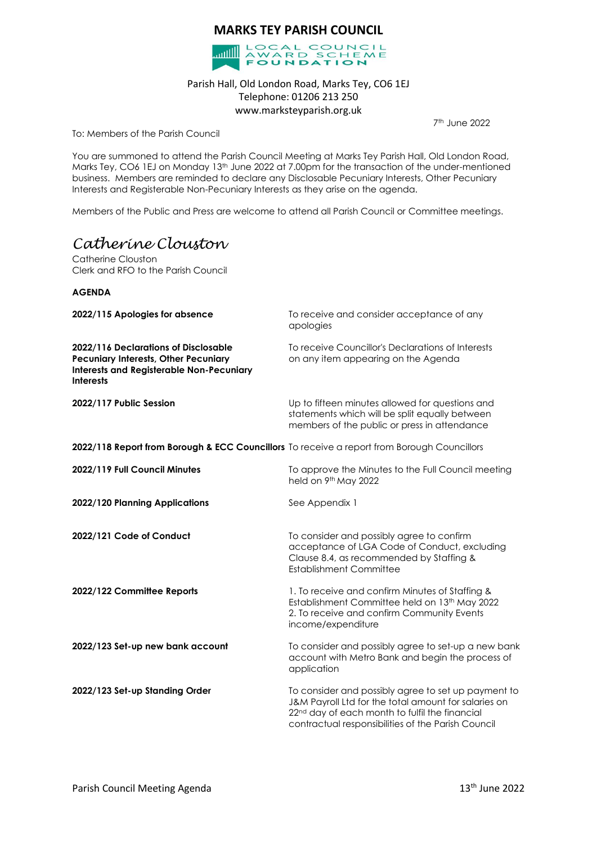# **MARKS TEY PARISH COUNCIL**



### Parish Hall, Old London Road, Marks Tey, CO6 1EJ Telephone: 01206 213 250 www.marksteyparish.org.uk

7 th June 2022

To: Members of the Parish Council

You are summoned to attend the Parish Council Meeting at Marks Tey Parish Hall, Old London Road, Marks Tey, CO6 1EJ on Monday 13<sup>th</sup> June 2022 at 7.00pm for the transaction of the under-mentioned business. Members are reminded to declare any Disclosable Pecuniary Interests, Other Pecuniary Interests and Registerable Non-Pecuniary Interests as they arise on the agenda.

Members of the Public and Press are welcome to attend all Parish Council or Committee meetings.

# *Catherine Clouston*

Catherine Clouston Clerk and RFO to the Parish Council

#### **AGENDA**

| 2022/115 Apologies for absence                                                                                                                             | To receive and consider acceptance of any<br>apologies                                                                                                                                                                          |
|------------------------------------------------------------------------------------------------------------------------------------------------------------|---------------------------------------------------------------------------------------------------------------------------------------------------------------------------------------------------------------------------------|
| 2022/116 Declarations of Disclosable<br><b>Pecuniary Interests, Other Pecuniary</b><br><b>Interests and Registerable Non-Pecuniary</b><br><b>Interests</b> | To receive Councillor's Declarations of Interests<br>on any item appearing on the Agenda                                                                                                                                        |
| 2022/117 Public Session                                                                                                                                    | Up to fifteen minutes allowed for questions and<br>statements which will be split equally between<br>members of the public or press in attendance                                                                               |
| 2022/118 Report from Borough & ECC Councillors To receive a report from Borough Councillors                                                                |                                                                                                                                                                                                                                 |
| 2022/119 Full Council Minutes                                                                                                                              | To approve the Minutes to the Full Council meeting<br>held on 9 <sup>th</sup> May 2022                                                                                                                                          |
| 2022/120 Planning Applications                                                                                                                             | See Appendix 1                                                                                                                                                                                                                  |
| 2022/121 Code of Conduct                                                                                                                                   | To consider and possibly agree to confirm<br>acceptance of LGA Code of Conduct, excluding<br>Clause 8.4, as recommended by Staffing &<br><b>Establishment Committee</b>                                                         |
| 2022/122 Committee Reports                                                                                                                                 | 1. To receive and confirm Minutes of Staffing &<br>Establishment Committee held on 13th May 2022<br>2. To receive and confirm Community Events<br>income/expenditure                                                            |
| 2022/123 Set-up new bank account                                                                                                                           | To consider and possibly agree to set-up a new bank<br>account with Metro Bank and begin the process of<br>application                                                                                                          |
| 2022/123 Set-up Standing Order                                                                                                                             | To consider and possibly agree to set up payment to<br>J&M Payroll Ltd for the total amount for salaries on<br>22 <sup>nd</sup> day of each month to fulfil the financial<br>contractual responsibilities of the Parish Council |